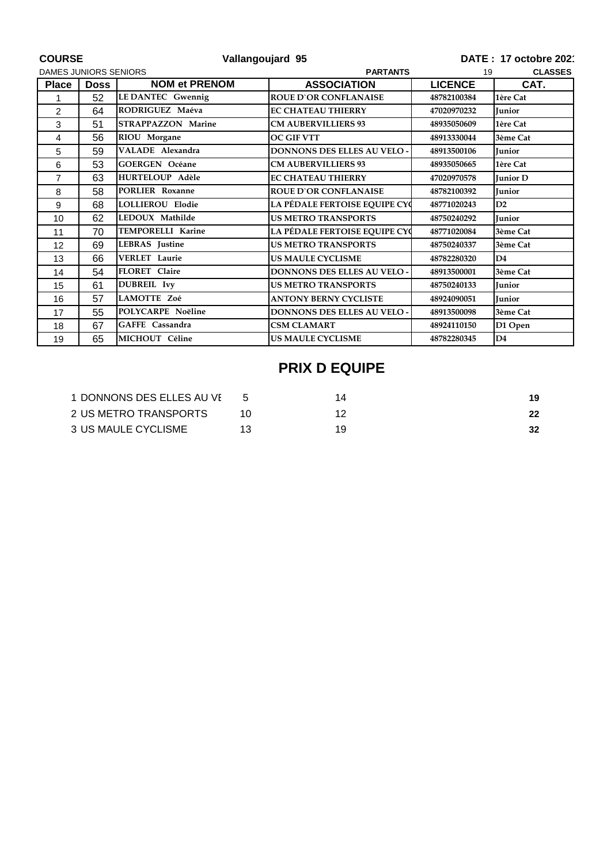| <b>COURSE</b>                |             | Vallangoujard 95          |                                    | DATE: 17 octobre 202 |                 |
|------------------------------|-------------|---------------------------|------------------------------------|----------------------|-----------------|
| <b>DAMES JUNIORS SENIORS</b> |             |                           | <b>PARTANTS</b>                    | <b>CLASSES</b><br>19 |                 |
| <b>Place</b>                 | <b>Doss</b> | <b>NOM et PRENOM</b>      | <b>ASSOCIATION</b>                 | <b>LICENCE</b>       | CAT.            |
| 1                            | 52          | LE DANTEC Gwennig         | <b>ROUE D'OR CONFLANAISE</b>       | 48782100384          | 1ère Cat        |
| 2                            | 64          | RODRIGUEZ Maéva           | <b>EC CHATEAU THIERRY</b>          | 47020970232          | <b>Junior</b>   |
| 3                            | 51          | <b>STRAPPAZZON Marine</b> | <b>CM AUBERVILLIERS 93</b>         | 48935050609          | 1ère Cat        |
| 4                            | 56          | RIOU Morgane              | <b>OC GIF VTT</b>                  | 48913330044          | 3ème Cat        |
| 5                            | 59          | VALADE Alexandra          | <b>DONNONS DES ELLES AU VELO -</b> | 48913500106          | <b>Junior</b>   |
| 6                            | 53          | <b>GOERGEN Océane</b>     | <b>CM AUBERVILLIERS 93</b>         | 48935050665          | 1ère Cat        |
| 7                            | 63          | <b>HURTELOUP Adèle</b>    | <b>EC CHATEAU THIERRY</b>          | 47020970578          | <b>Iunior D</b> |
| 8                            | 58          | PORLIER Roxanne           | <b>ROUE D'OR CONFLANAISE</b>       | 48782100392          | <b>Junior</b>   |
| 9                            | 68          | <b>LOLLIEROU Elodie</b>   | LA PÉDALE FERTOISE EQUIPE CYC      | 48771020243          | D2              |
| 10                           | 62          | LEDOUX Mathilde           | <b>US METRO TRANSPORTS</b>         | 48750240292          | Junior          |
| 11                           | 70          | <b>TEMPORELLI Karine</b>  | LA PÉDALE FERTOISE EQUIPE CYC      | 48771020084          | 3ème Cat        |
| 12                           | 69          | <b>LEBRAS</b> Justine     | <b>US METRO TRANSPORTS</b>         | 48750240337          | 3ème Cat        |
| 13                           | 66          | VERLET Laurie             | <b>US MAULE CYCLISME</b>           | 48782280320          | D <sub>4</sub>  |
| 14                           | 54          | <b>FLORET</b> Claire      | <b>DONNONS DES ELLES AU VELO -</b> | 48913500001          | 3ème Cat        |
| 15                           | 61          | <b>DUBREIL</b> Ivy        | <b>US METRO TRANSPORTS</b>         | 48750240133          | <b>Junior</b>   |
| 16                           | 57          | LAMOTTE Zoé               | <b>ANTONY BERNY CYCLISTE</b>       | 48924090051          | <b>Junior</b>   |
| 17                           | 55          | POLYCARPE Noëline         | DONNONS DES ELLES AU VELO -        | 48913500098          | 3ème Cat        |
| 18                           | 67          | GAFFE Cassandra           | <b>CSM CLAMART</b>                 | 48924110150          | D1 Open         |
| 19                           | 65          | MICHOUT Céline            | <b>US MAULE CYCLISME</b>           | 48782280345          | D <sub>4</sub>  |

## **PRIX D EQUIPE**

| 1 DONNONS DES ELLES AU VI |  |    |
|---------------------------|--|----|
| 2 US METRO TRANSPORTS     |  | 22 |
| 3 US MAULE CYCLISME       |  | 32 |